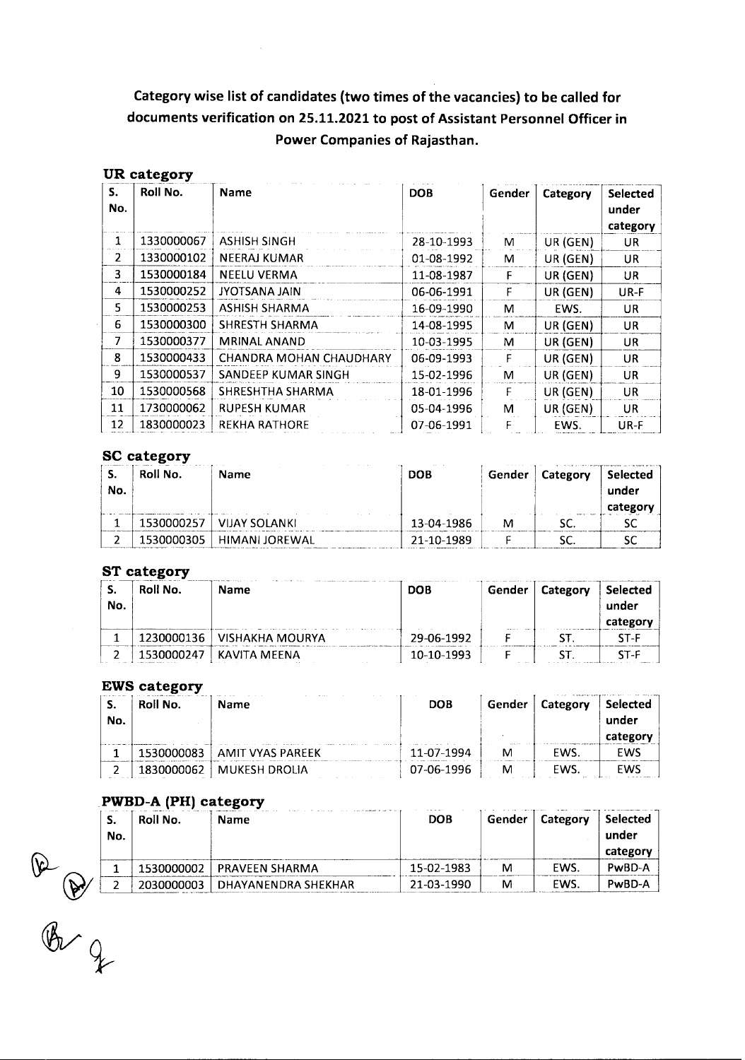# **Category wise list of candidates (two times of the vacancies) to be called for documents verification on 25.11.2021 to post of Assistant Personnel Officer in Power Companies of Rajasthan.**

 $\bar{\mathcal{A}}$ 

|                | UR category |                         |            |        |          |                                      |
|----------------|-------------|-------------------------|------------|--------|----------|--------------------------------------|
| S.<br>No.      | Roll No.    | <b>Name</b>             | <b>DOB</b> | Gender | Category | <b>Selected</b><br>under<br>category |
| $\mathbf{1}$   | 1330000067  | ASHISH SINGH            | 28-10-1993 | M      | UR (GEN) | <b>UR</b>                            |
| 2              | 1330000102  | NEERAJ KUMAR            | 01-08-1992 | м      | UR (GEN) | <b>UR</b>                            |
| $\overline{3}$ | 1530000184  | <b>NEELU VERMA</b>      | 11-08-1987 | F      | UR (GEN) | UR                                   |
| 4              | 1530000252  | JYOTSANA JAIN           | 06-06-1991 | F      | UR (GEN) | UR-F                                 |
| 5.             | 1530000253  | ASHISH SHARMA           | 16-09-1990 | M      | EWS.     | <b>UR</b>                            |
| 6              | 1530000300  | SHRESTH SHARMA          | 14-08-1995 | м      | UR (GEN) | <b>UR</b>                            |
| $\overline{7}$ | 1530000377  | <b>MRINAL ANAND</b>     | 10-03-1995 | M      | UR (GEN) | <b>UR</b>                            |
| 8              | 1530000433  | CHANDRA MOHAN CHAUDHARY | 06-09-1993 | F      | UR (GEN) | <b>UR</b>                            |
| 9              | 1530000537  | SANDEEP KUMAR SINGH     | 15-02-1996 | м      | UR (GEN) | <b>UR</b>                            |
| 10             | 1530000568  | SHRESHTHA SHARMA        | 18-01-1996 | F      | UR (GEN) | <b>UR</b>                            |
| 11             | 1730000062  | RUPESH KUMAR            | 05-04-1996 | м      | UR (GEN) | UR.                                  |
| 12             | 1830000023  | <b>REKHA RATHORE</b>    | 07-06-1991 |        | EWS.     | UR-F                                 |

## **SC category**

| .<br>No. | Roll No.   | Name           | <b>DOB</b> | Gender | Category | . Selected<br>under<br>categor |
|----------|------------|----------------|------------|--------|----------|--------------------------------|
|          | 1530000257 | VIJAY SOLANKI  | 13-04-1986 | M      |          |                                |
|          | 1530000305 | HIMANI JOREWAL | 21-10-1989 |        |          |                                |

## **ST** category

| S.<br>No. | Roll No.   | <b>Name</b>     | <b>DOB</b> | Gender | Category | <b>Selected</b><br>under<br>category |
|-----------|------------|-----------------|------------|--------|----------|--------------------------------------|
|           | 1230000136 | VISHAKHA MOURYA | 29-06-1992 |        |          | ST-F                                 |
|           | 1530000247 | KAVITA MEENA    | 10-10-1993 |        |          | ST-F                                 |

#### **EWS** category

| <br>No. | Roll No. | <b>Name</b>      | <b>DOB</b> | Gender | Category | <b>Selected</b><br>under |
|---------|----------|------------------|------------|--------|----------|--------------------------|
|         |          | AMIT VYAS PAREEK | 11-07-1994 | M      | EWS      | FWS                      |
| ~       | .        | MUKESH DROLIA    | 07-06-1996 |        | EWS      | EWS                      |

#### **PWBD-A (PH) category**

|           |          | . .                   |            |        |            |                   |
|-----------|----------|-----------------------|------------|--------|------------|-------------------|
| э.<br>No. | Roll No. | Name                  | <b>DOB</b> | Gender |            | Selected<br>under |
|           |          |                       |            |        |            | categor           |
|           |          | <b>PRAVEEN SHARMA</b> | 15-02-1983 | м      | <b>EWS</b> | PwBD-A            |
|           |          | DHAYANENDRA SHEKHAR   | 21-03-1990 | M      | EWS        | PwBD-A            |
|           |          |                       |            |        |            | Category          |